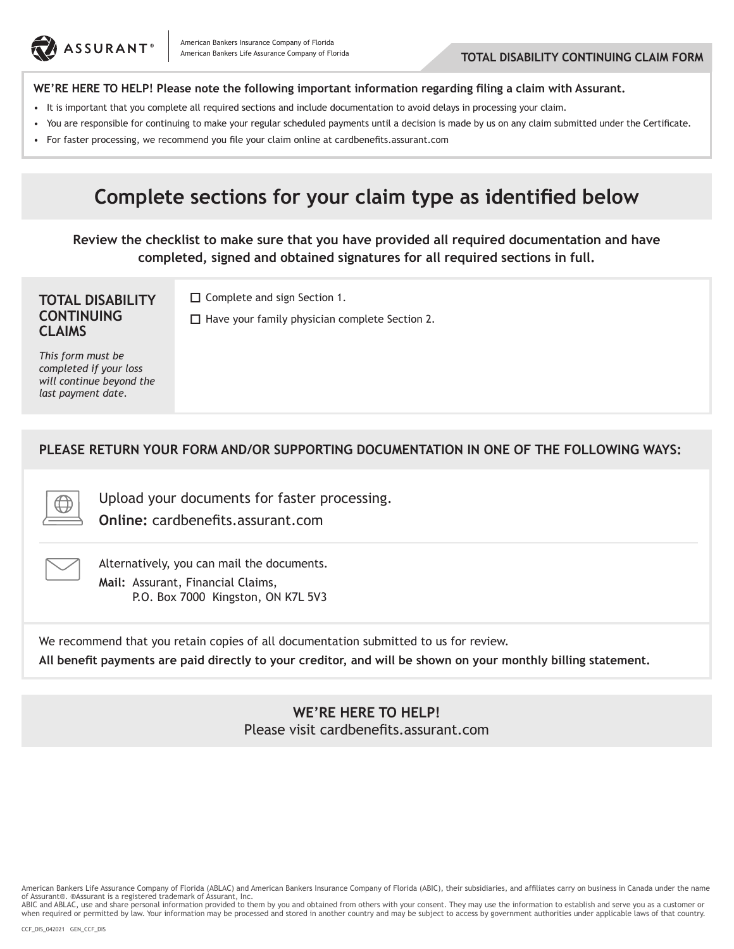

#### **WE'RE HERE TO HELP! Please note the following important information regarding filing a claim with Assurant.**

- It is important that you complete all required sections and include documentation to avoid delays in processing your claim.
- • You are responsible for continuing to make your regular scheduled payments until a decision is made by us on any claim submitted under the Certificate.
- • For faster processing, we recommend you file your claim online at cardbenefits.assurant.com

# **Complete sections for your claim type as identified below**

**Review the checklist to make sure that you have provided all required documentation and have completed, signed and obtained signatures for all required sections in full.**

#### **TOTAL DISABILITY CONTINUING CLAIMS**

□ Complete and sign Section 1.

 $\Box$  Have your family physician complete Section 2.

*This form must be completed if your loss will continue beyond the last payment date.*

### **PLEASE RETURN YOUR FORM AND/OR SUPPORTING DOCUMENTATION IN ONE OF THE FOLLOWING WAYS:**

Upload your documents for faster processing.

**Online:** cardbenefits.assurant.com



Alternatively, you can mail the documents. **Mail:** Assurant, Financial Claims, P.O. Box 7000 Kingston, ON K7L 5V3

We recommend that you retain copies of all documentation submitted to us for review.

**All benefit payments are paid directly to your creditor, and will be shown on your monthly billing statement.**

#### **WE'RE HERE TO HELP!** Please visit cardbenefits.assurant.com

American Bankers Life Assurance Company of Florida (ABLAC) and American Bankers Insurance Company of Florida (ABIC), their subsidiaries, and affiliates carry on business in Canada under the name of Assurant®. ®Assurant is a registered trademark of Assurant, Inc.<br>ABIC and ABLAC, use and share personal information provided to them by you and obtained from others with your consent. They may use the information to est

when required or permitted by law. Your information may be processed and stored in another country and may be subject to access by government authorities under applicable laws of that country.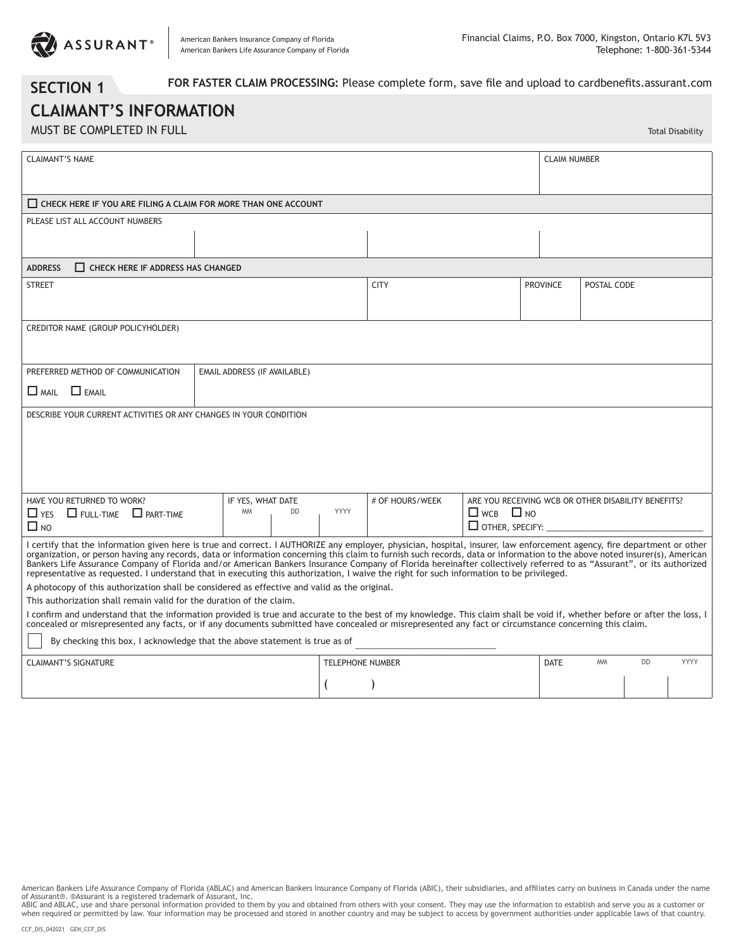

**SECTION 1**

Total Disability

 **FOR FASTER CLAIM PROCESSING:** Please complete form, save file and upload to cardbenefits.assurant.com

## **CLAIMANT'S INFORMATION** MUST BE COMPLETED IN FULL

| <b>CLAIMANT'S NAME</b>                                                                                                                                                                                                                                                                                                                                                                                                                                                                                                                                                                                                                                                    |                              | <b>CLAIM NUMBER</b> |                         |                                                       |                                                     |                 |             |           |      |  |  |  |  |
|---------------------------------------------------------------------------------------------------------------------------------------------------------------------------------------------------------------------------------------------------------------------------------------------------------------------------------------------------------------------------------------------------------------------------------------------------------------------------------------------------------------------------------------------------------------------------------------------------------------------------------------------------------------------------|------------------------------|---------------------|-------------------------|-------------------------------------------------------|-----------------------------------------------------|-----------------|-------------|-----------|------|--|--|--|--|
| $\Box$ CHECK HERE IF YOU ARE FILING A CLAIM FOR MORE THAN ONE ACCOUNT                                                                                                                                                                                                                                                                                                                                                                                                                                                                                                                                                                                                     |                              |                     |                         |                                                       |                                                     |                 |             |           |      |  |  |  |  |
| PLEASE LIST ALL ACCOUNT NUMBERS                                                                                                                                                                                                                                                                                                                                                                                                                                                                                                                                                                                                                                           |                              |                     |                         |                                                       |                                                     |                 |             |           |      |  |  |  |  |
|                                                                                                                                                                                                                                                                                                                                                                                                                                                                                                                                                                                                                                                                           |                              |                     |                         |                                                       |                                                     |                 |             |           |      |  |  |  |  |
| <b>ADDRESS</b><br>$\Box$ CHECK HERE IF ADDRESS HAS CHANGED                                                                                                                                                                                                                                                                                                                                                                                                                                                                                                                                                                                                                |                              |                     |                         |                                                       |                                                     |                 |             |           |      |  |  |  |  |
| <b>STREET</b>                                                                                                                                                                                                                                                                                                                                                                                                                                                                                                                                                                                                                                                             |                              |                     |                         | <b>CITY</b>                                           |                                                     | <b>PROVINCE</b> | POSTAL CODE |           |      |  |  |  |  |
| CREDITOR NAME (GROUP POLICYHOLDER)                                                                                                                                                                                                                                                                                                                                                                                                                                                                                                                                                                                                                                        |                              |                     |                         |                                                       |                                                     |                 |             |           |      |  |  |  |  |
| PREFERRED METHOD OF COMMUNICATION                                                                                                                                                                                                                                                                                                                                                                                                                                                                                                                                                                                                                                         | EMAIL ADDRESS (IF AVAILABLE) |                     |                         |                                                       |                                                     |                 |             |           |      |  |  |  |  |
| $\Box$ EMAIL<br>$\Box$ MAIL                                                                                                                                                                                                                                                                                                                                                                                                                                                                                                                                                                                                                                               |                              |                     |                         |                                                       |                                                     |                 |             |           |      |  |  |  |  |
| DESCRIBE YOUR CURRENT ACTIVITIES OR ANY CHANGES IN YOUR CONDITION                                                                                                                                                                                                                                                                                                                                                                                                                                                                                                                                                                                                         |                              |                     |                         |                                                       |                                                     |                 |             |           |      |  |  |  |  |
| HAVE YOU RETURNED TO WORK?                                                                                                                                                                                                                                                                                                                                                                                                                                                                                                                                                                                                                                                |                              | IF YES, WHAT DATE   |                         | # OF HOURS/WEEK                                       | ARE YOU RECEIVING WCB OR OTHER DISABILITY BENEFITS? |                 |             |           |      |  |  |  |  |
| $\Box$ Full-Time $\Box$ part-time<br>$\Box$ YES<br>$\Box$ NO                                                                                                                                                                                                                                                                                                                                                                                                                                                                                                                                                                                                              | <b>MM</b><br><b>DD</b>       | <b>YYYY</b>         |                         | $\Box$ WCB $\Box$ NO<br>$\Box$ OTHER, SPECIFY: $\Box$ |                                                     |                 |             |           |      |  |  |  |  |
| I certify that the information given here is true and correct. I AUTHORIZE any employer, physician, hospital, insurer, law enforcement agency, fire department or other<br>organization, or person having any records, data or information concerning this claim to furnish such records, data or information to the above noted insurer(s), American<br>Bankers Life Assurance Company of Florida and/or American Bankers Insurance Company of Florida hereinafter collectively referred to as "Assurant", or its authorized<br>representative as requested. I understand that in executing this authorization, I waive the right for such information to be privileged. |                              |                     |                         |                                                       |                                                     |                 |             |           |      |  |  |  |  |
| A photocopy of this authorization shall be considered as effective and valid as the original.                                                                                                                                                                                                                                                                                                                                                                                                                                                                                                                                                                             |                              |                     |                         |                                                       |                                                     |                 |             |           |      |  |  |  |  |
| This authorization shall remain valid for the duration of the claim.<br>I confirm and understand that the information provided is true and accurate to the best of my knowledge. This claim shall be void if, whether before or after the loss, I                                                                                                                                                                                                                                                                                                                                                                                                                         |                              |                     |                         |                                                       |                                                     |                 |             |           |      |  |  |  |  |
| concealed or misrepresented any facts, or if any documents submitted have concealed or misrepresented any fact or circumstance concerning this claim.                                                                                                                                                                                                                                                                                                                                                                                                                                                                                                                     |                              |                     |                         |                                                       |                                                     |                 |             |           |      |  |  |  |  |
| By checking this box, I acknowledge that the above statement is true as of                                                                                                                                                                                                                                                                                                                                                                                                                                                                                                                                                                                                |                              |                     |                         |                                                       |                                                     |                 |             |           |      |  |  |  |  |
| <b>CLAIMANT'S SIGNATURE</b>                                                                                                                                                                                                                                                                                                                                                                                                                                                                                                                                                                                                                                               |                              |                     | <b>TELEPHONE NUMBER</b> |                                                       |                                                     | <b>DATE</b>     | <b>MM</b>   | <b>DD</b> | YYYY |  |  |  |  |
|                                                                                                                                                                                                                                                                                                                                                                                                                                                                                                                                                                                                                                                                           |                              |                     |                         |                                                       |                                                     |                 |             |           |      |  |  |  |  |

American Bankers Life Assurance Company of Florida (ABLAC) and American Bankers Insurance Company of Florida (ABIC), their subsidiaries, and affiliates carry on business in Canada under the name

of Assurant®. ®Assurant is a registered trademark of Assurant, Inc.<br>ABIC and ABLAC, use and share personal information provided to mother somether of the swith your consent. They may use the information to establish and se